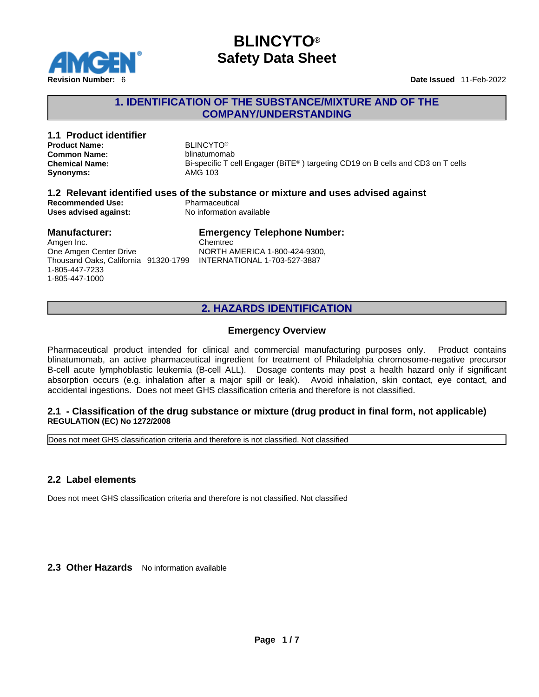

### **1. IDENTIFICATION OF THE SUBSTANCE/MIXTURE AND OF THE COMPANY/UNDERSTANDING**

#### **1.1 Product identifier** BIJNCYTO®<br> **Product Name:** BIJNCYTO® **Product Name: Common Name:** blinatumomab **Chemical Name:** Bi-specific T cell Engager (BiTE® ) targeting CD19 on B cells and CD3 on T cells **Synonyms:** AMG 103 **1.2 Relevant identified uses of the substance or mixture and uses advised against Recommended Use:**<br> **Uses advised against:**<br> **No information available Uses advised against: Manufacturer:** Amgen Inc. One Amgen Center Drive **Emergency Telephone Number:** Chemtrec NORTH AMERICA 1-800-424-9300,

Thousand Oaks, California 91320-1799 INTERNATIONAL 1-703-527-3887 1-805-447-7233 1-805-447-1000

## **2. HAZARDS IDENTIFICATION**

### **Emergency Overview**

Pharmaceutical product intended for clinical and commercial manufacturing purposes only. Product contains blinatumomab, an active pharmaceutical ingredient for treatment of Philadelphia chromosome-negative precursor B-cell acute lymphoblastic leukemia (B-cell ALL). Dosage contents may post a health hazard only if significant absorption occurs (e.g. inhalation after a major spill or leak). Avoid inhalation, skin contact, eye contact, and accidental ingestions. Does not meet GHS classification criteria and therefore is not classified.

#### **2.1 - Classification of the drug substance or mixture (drug product in final form, not applicable) REGULATION (EC) No 1272/2008**

Does not meet GHS classification criteria and therefore is not classified. Not classified

### **2.2 Label elements**

Does not meet GHS classification criteria and therefore is not classified. Not classified

**2.3 Other Hazards** No information available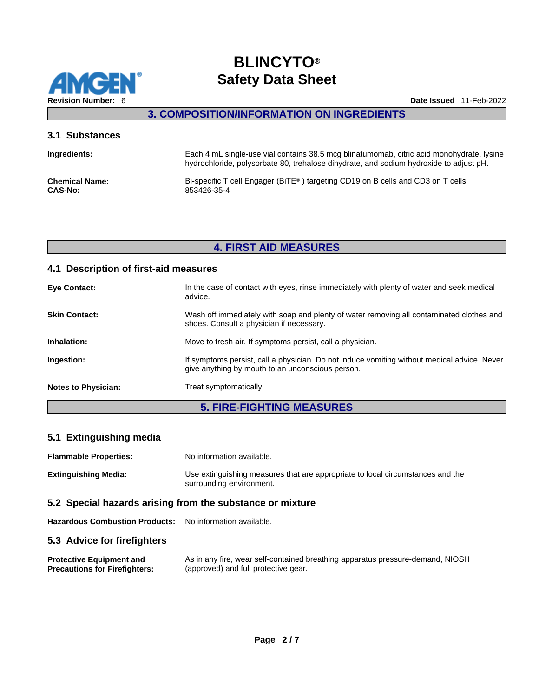

**3. COMPOSITION/INFORMATION ON INGREDIENTS** 

#### **3.1 Substances**

| Ingredients:          | Each 4 mL single-use vial contains 38.5 mcg blinatumomab, citric acid monohydrate, lysine<br>hydrochloride, polysorbate 80, trehalose dihydrate, and sodium hydroxide to adjust pH. |
|-----------------------|-------------------------------------------------------------------------------------------------------------------------------------------------------------------------------------|
| <b>Chemical Name:</b> | Bi-specific T cell Engager (BITE <sup>®</sup> ) targeting CD19 on B cells and CD3 on T cells                                                                                        |
| <b>CAS-No:</b>        | 853426-35-4                                                                                                                                                                         |

## **4. FIRST AID MEASURES**

### **4.1 Description of first-aid measures**

| <b>Eye Contact:</b>        | In the case of contact with eyes, rinse immediately with plenty of water and seek medical<br>advice.                                            |
|----------------------------|-------------------------------------------------------------------------------------------------------------------------------------------------|
| <b>Skin Contact:</b>       | Wash off immediately with soap and plenty of water removing all contaminated clothes and<br>shoes. Consult a physician if necessary.            |
| Inhalation:                | Move to fresh air. If symptoms persist, call a physician.                                                                                       |
| Ingestion:                 | If symptoms persist, call a physician. Do not induce vomiting without medical advice. Never<br>give anything by mouth to an unconscious person. |
| <b>Notes to Physician:</b> | Treat symptomatically.                                                                                                                          |
|                            |                                                                                                                                                 |

## **5. FIRE-FIGHTING MEASURES**

### **5.1 Extinguishing media**

| <b>Flammable Properties:</b>                              | No information available.                                                                                  |  |
|-----------------------------------------------------------|------------------------------------------------------------------------------------------------------------|--|
| Extinguishing Media:                                      | Use extinguishing measures that are appropriate to local circumstances and the<br>surrounding environment. |  |
| 5.2 Special hazards arising from the substance or mixture |                                                                                                            |  |

### **Hazardous Combustion Products:** No information available.

### **5.3 Advice for firefighters**

| <b>Protective Equipment and</b>      | As in any fire, wear self-contained breathing apparatus pressure-demand, NIOSH |
|--------------------------------------|--------------------------------------------------------------------------------|
| <b>Precautions for Firefighters:</b> | (approved) and full protective gear.                                           |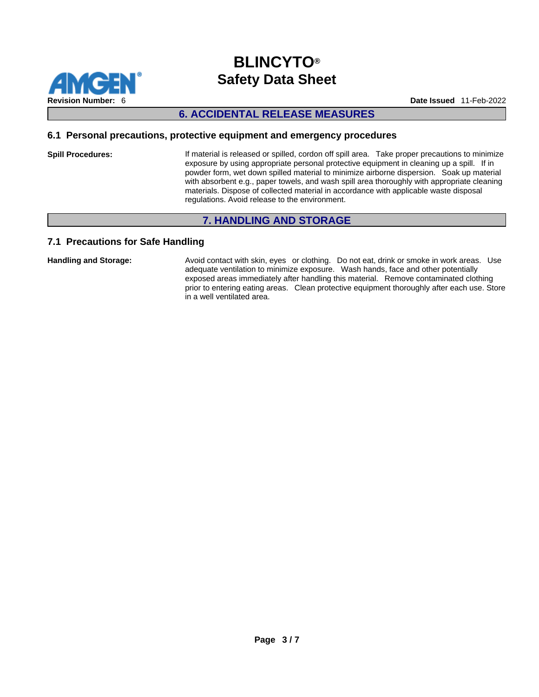

## **6. ACCIDENTAL RELEASE MEASURES**

#### **6.1 Personal precautions, protective equipment and emergency procedures**

Spill Procedures: If material is released or spilled, cordon off spill area. Take proper precautions to minimize exposure by using appropriate personal protective equipment in cleaning up a spill. If in powder form, wet down spilled material to minimize airborne dispersion. Soak up material with absorbent e.g., paper towels, and wash spill area thoroughly with appropriate cleaning materials. Dispose of collected material in accordance with applicable waste disposal regulations. Avoid release to the environment.

## **7. HANDLING AND STORAGE**

### **7.1 Precautions for Safe Handling**

Handling and Storage: **Avoid contact with skin, eyes** or clothing. Do not eat, drink or smoke in work areas. Use adequate ventilation to minimize exposure. Wash hands, face and other potentially exposed areas immediately after handling this material. Remove contaminated clothing prior to entering eating areas. Clean protective equipment thoroughly after each use. Store in a well ventilated area.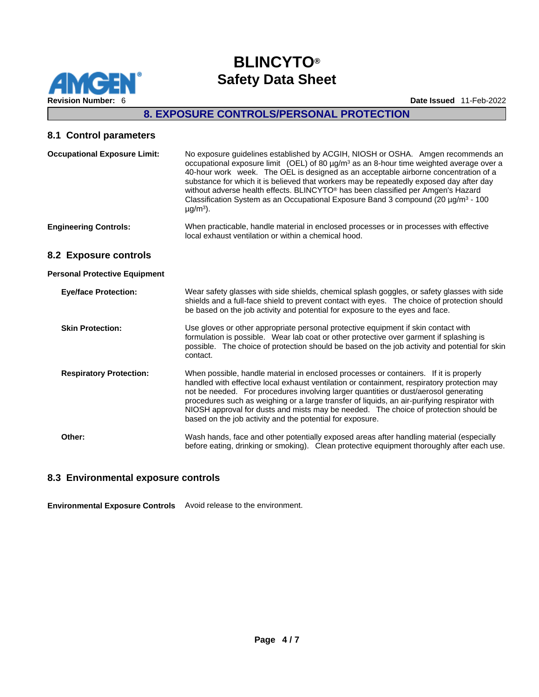

## **8. EXPOSURE CONTROLS/PERSONAL PROTECTION**

## **8.1 Control parameters**

| <b>Occupational Exposure Limit:</b>  | No exposure guidelines established by ACGIH, NIOSH or OSHA. Amgen recommends an<br>occupational exposure limit (OEL) of 80 $\mu$ g/m <sup>3</sup> as an 8-hour time weighted average over a<br>40-hour work week. The OEL is designed as an acceptable airborne concentration of a<br>substance for which it is believed that workers may be repeatedly exposed day after day<br>without adverse health effects. BLINCYTO <sup>®</sup> has been classified per Amgen's Hazard<br>Classification System as an Occupational Exposure Band 3 compound (20 µg/m <sup>3</sup> - 100<br>$\mu$ g/m <sup>3</sup> ). |
|--------------------------------------|-------------------------------------------------------------------------------------------------------------------------------------------------------------------------------------------------------------------------------------------------------------------------------------------------------------------------------------------------------------------------------------------------------------------------------------------------------------------------------------------------------------------------------------------------------------------------------------------------------------|
| <b>Engineering Controls:</b>         | When practicable, handle material in enclosed processes or in processes with effective<br>local exhaust ventilation or within a chemical hood.                                                                                                                                                                                                                                                                                                                                                                                                                                                              |
| 8.2 Exposure controls                |                                                                                                                                                                                                                                                                                                                                                                                                                                                                                                                                                                                                             |
| <b>Personal Protective Equipment</b> |                                                                                                                                                                                                                                                                                                                                                                                                                                                                                                                                                                                                             |
| <b>Eye/face Protection:</b>          | Wear safety glasses with side shields, chemical splash goggles, or safety glasses with side<br>shields and a full-face shield to prevent contact with eyes. The choice of protection should<br>be based on the job activity and potential for exposure to the eyes and face.                                                                                                                                                                                                                                                                                                                                |
| <b>Skin Protection:</b>              | Use gloves or other appropriate personal protective equipment if skin contact with<br>formulation is possible. Wear lab coat or other protective over garment if splashing is<br>possible. The choice of protection should be based on the job activity and potential for skin<br>contact.                                                                                                                                                                                                                                                                                                                  |
| <b>Respiratory Protection:</b>       | When possible, handle material in enclosed processes or containers. If it is properly<br>handled with effective local exhaust ventilation or containment, respiratory protection may<br>not be needed. For procedures involving larger quantities or dust/aerosol generating<br>procedures such as weighing or a large transfer of liquids, an air-purifying respirator with<br>NIOSH approval for dusts and mists may be needed. The choice of protection should be<br>based on the job activity and the potential for exposure.                                                                           |
| Other:                               | Wash hands, face and other potentially exposed areas after handling material (especially<br>before eating, drinking or smoking). Clean protective equipment thoroughly after each use.                                                                                                                                                                                                                                                                                                                                                                                                                      |

### **8.3 Environmental exposure controls**

**Environmental Exposure Controls** Avoid release to the environment.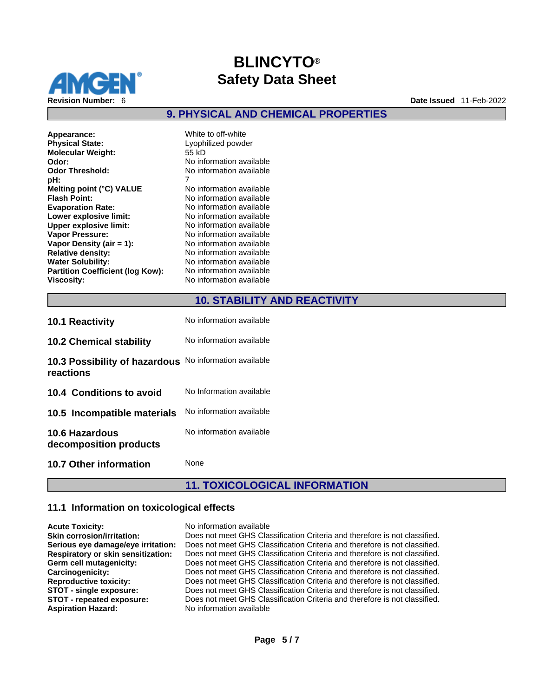

**9. PHYSICAL AND CHEMICAL PROPERTIES** 

**Appearance:** White to off-white **Physical State:** Lyophilized powder<br> **Molecular Weight:** 55 kD **Molecular Weight: Odor: No** information available<br> **Odor Threshold:** No information available **Odor Threshold:** No information available<br> **pH:** 7 **pH:** 7 **Melting point (°C) VALUE** No information available **Flash Point:** No information available **Evaporation Rate:** No information available **Lower explosive limit:** No information available **Upper explosive limit:** No information available **Vapor Pressure:** No information available **Vapor Density (air = 1):** No information available **Relative density:** No information available **Water Solubility:** No information available **Partition Coefficient (log Kow):** No information available **Viscosity:** No information available

### **10. STABILITY AND REACTIVITY**

| <b>10.1 Reactivity</b>                                              | No information available |
|---------------------------------------------------------------------|--------------------------|
| <b>10.2 Chemical stability</b>                                      | No information available |
| 10.3 Possibility of hazardous No information available<br>reactions |                          |
| 10.4 Conditions to avoid                                            | No Information available |
| 10.5 Incompatible materials                                         | No information available |
| <b>10.6 Hazardous</b><br>decomposition products                     | No information available |
| 10.7 Other information                                              | None                     |

## **11. TOXICOLOGICAL INFORMATION**

#### **11.1 Information on toxicological effects**

| <b>Acute Toxicity:</b>             | No information available                                                   |
|------------------------------------|----------------------------------------------------------------------------|
| <b>Skin corrosion/irritation:</b>  | Does not meet GHS Classification Criteria and therefore is not classified. |
| Serious eye damage/eye irritation: | Does not meet GHS Classification Criteria and therefore is not classified. |
| Respiratory or skin sensitization: | Does not meet GHS Classification Criteria and therefore is not classified. |
| Germ cell mutagenicity:            | Does not meet GHS Classification Criteria and therefore is not classified. |
| Carcinogenicity:                   | Does not meet GHS Classification Criteria and therefore is not classified. |
| <b>Reproductive toxicity:</b>      | Does not meet GHS Classification Criteria and therefore is not classified. |
| STOT - single exposure:            | Does not meet GHS Classification Criteria and therefore is not classified. |
| STOT - repeated exposure:          | Does not meet GHS Classification Criteria and therefore is not classified. |
| <b>Aspiration Hazard:</b>          | No information available                                                   |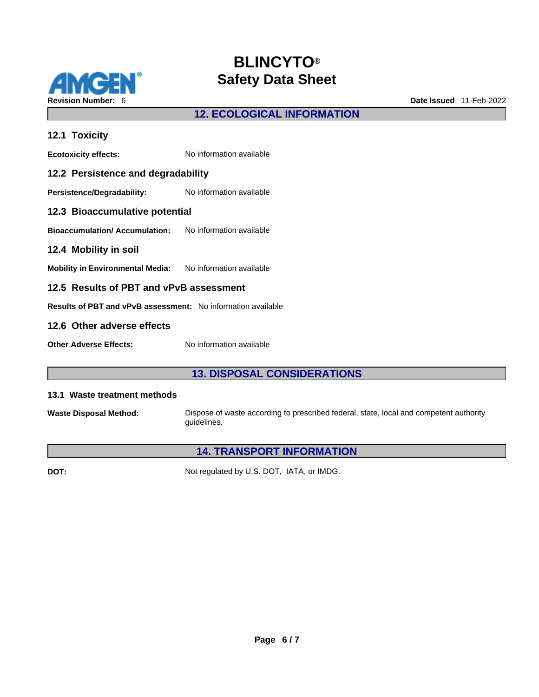

# **12. ECOLOGICAL INFORMATION**

| 12.1 Toxicity                                                 |                          |
|---------------------------------------------------------------|--------------------------|
| <b>Ecotoxicity effects:</b>                                   | No information available |
| 12.2 Persistence and degradability                            |                          |
| Persistence/Degradability:                                    | No information available |
| 12.3 Bioaccumulative potential                                |                          |
| <b>Bioaccumulation/Accumulation:</b> No information available |                          |
| 12.4 Mobility in soil                                         |                          |
| Mobility in Environmental Media: No information available     |                          |
| 12.5 Results of PBT and vPvB assessment                       |                          |
| Results of PBT and vPvB assessment: No information available  |                          |
| 12.6 Other adverse effects                                    |                          |
| <b>Other Adverse Effects:</b>                                 | No information available |

## **13. DISPOSAL CONSIDERATIONS**

#### **13.1 Waste treatment methods**

**Waste Disposal Method:** Dispose of waste according to prescribed federal, state, local and competent authority guidelines.

## **14. TRANSPORT INFORMATION**

**DOT:** Not regulated by U.S. DOT, IATA, or IMDG.